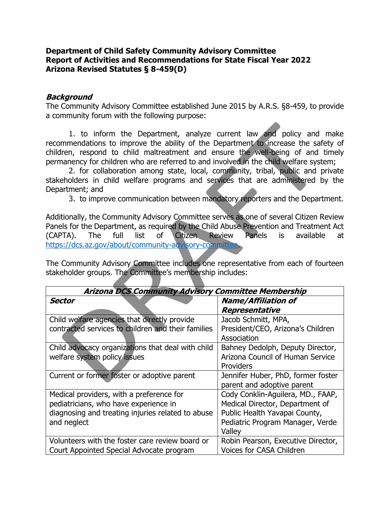### **Department of Child Safety Community Advisory Committee Report of Activities and Recommendations for State Fiscal Year 2022 Arizona Revised Statutes § 8-459(D)**

#### **Background**

The Community Advisory Committee established June 2015 by A.R.S. §8-459, to provide a community forum with the following purpose:

1. to inform the Department, analyze current law and policy and make recommendations to improve the ability of the Department to increase the safety of children, respond to child maltreatment and ensure the well-being of and timely permanency for children who are referred to and involved in the child welfare system;

2. for collaboration among state, local, community, tribal, public and private stakeholders in child welfare programs and services that are administered by the Department; and

3. to improve communication between mandatory reporters and the Department.

Additionally, the Community Advisory Committee serves as one of several Citizen Review Panels for the Department, as required by the Child Abuse Prevention and Treatment Act (CAPTA). The full list of Citizen Review Panels is available at [https://dcs.az.gov/about/community-advisory-committee.](https://dcs.az.gov/about/community-advisory-committee)

The Community Advisory Committee includes one representative from each of fourteen stakeholder groups. The Committee's membership includes:

| <b>Arizona DCS Community Advisory Committee Membership</b>                                                                                            |                                                                                                                                                     |
|-------------------------------------------------------------------------------------------------------------------------------------------------------|-----------------------------------------------------------------------------------------------------------------------------------------------------|
| <b>Sector</b>                                                                                                                                         | <b>Name/Affiliation of</b><br>Representative                                                                                                        |
| Child welfare agencies that directly provide<br>contracted services to children and their families                                                    | Jacob Schmitt, MPA,<br>President/CEO, Arizona's Children<br>Association                                                                             |
| Child advocacy organizations that deal with child<br>welfare system policy issues                                                                     | Bahney Dedolph, Deputy Director,<br>Arizona Council of Human Service<br>Providers                                                                   |
| Current or former foster or adoptive parent                                                                                                           | Jennifer Huber, PhD, former foster<br>parent and adoptive parent                                                                                    |
| Medical providers, with a preference for<br>pediatricians, who have experience in<br>diagnosing and treating injuries related to abuse<br>and neglect | Cody Conklin-Aguilera, MD., FAAP,<br>Medical Director, Department of<br>Public Health Yavapai County,<br>Pediatric Program Manager, Verde<br>Valley |
| Volunteers with the foster care review board or<br>Court Appointed Special Advocate program                                                           | Robin Pearson, Executive Director,<br><b>Voices for CASA Children</b>                                                                               |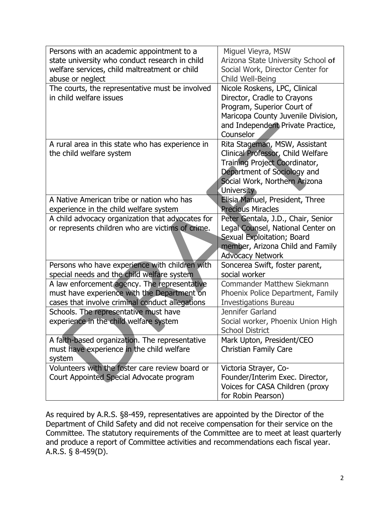| Persons with an academic appointment to a        | Miguel Vieyra, MSW                                          |
|--------------------------------------------------|-------------------------------------------------------------|
| state university who conduct research in child   | Arizona State University School of                          |
| welfare services, child maltreatment or child    | Social Work, Director Center for                            |
| abuse or neglect                                 | Child Well-Being                                            |
| The courts, the representative must be involved  | Nicole Roskens, LPC, Clinical                               |
| in child welfare issues                          | Director, Cradle to Crayons                                 |
|                                                  | Program, Superior Court of                                  |
|                                                  | Maricopa County Juvenile Division,                          |
|                                                  | and Independent Private Practice,                           |
|                                                  | Counselor                                                   |
| A rural area in this state who has experience in | Rita Stageman, MSW, Assistant                               |
| the child welfare system                         | Clinical Professor, Child Welfare                           |
|                                                  | Training Project Coordinator,                               |
|                                                  | Department of Sociology and                                 |
|                                                  | Social Work, Northern Arizona                               |
|                                                  | University                                                  |
| A Native American tribe or nation who has        | Elisia Manuel, President, Three                             |
| experience in the child welfare system           | <b>Precious Miracles</b>                                    |
| A child advocacy organization that advocates for | Peter Gentala, J.D., Chair, Senior                          |
| or represents children who are victims of crime. | Legal Counsel, National Center on                           |
|                                                  | Sexual Exploitation; Board                                  |
|                                                  | member, Arizona Child and Family                            |
|                                                  | <b>Advocacy Network</b>                                     |
| Persons who have experience with children with   | Soncerea Swift, foster parent,                              |
| special needs and the child welfare system       | social worker                                               |
| A law enforcement agency. The representative     | <b>Commander Matthew Siekmann</b>                           |
| must have experience with the Department on      | Phoenix Police Department, Family                           |
| cases that involve criminal conduct allegations  | <b>Investigations Bureau</b><br>Jennifer Garland            |
| Schools. The representative must have            |                                                             |
| experience in the child welfare system           | Social worker, Phoenix Union High<br><b>School District</b> |
| A faith-based organization. The representative   | Mark Upton, President/CEO                                   |
| must have experience in the child welfare        | <b>Christian Family Care</b>                                |
| system                                           |                                                             |
| Volunteers with the foster care review board or  | Victoria Strayer, Co-                                       |
| Court Appointed Special Advocate program         | Founder/Interim Exec. Director,                             |
|                                                  | Voices for CASA Children (proxy                             |
|                                                  | for Robin Pearson)                                          |

As required by A.R.S. §8-459, representatives are appointed by the Director of the Department of Child Safety and did not receive compensation for their service on the Committee. The statutory requirements of the Committee are to meet at least quarterly and produce a report of Committee activities and recommendations each fiscal year. A.R.S. § 8-459(D).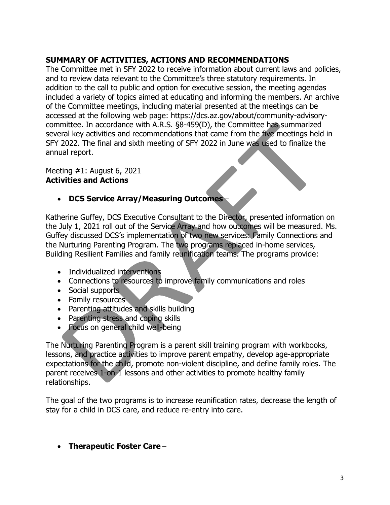### **SUMMARY OF ACTIVITIES, ACTIONS AND RECOMMENDATIONS**

The Committee met in SFY 2022 to receive information about current laws and policies, and to review data relevant to the Committee's three statutory requirements. In addition to the call to public and option for executive session, the meeting agendas included a variety of topics aimed at educating and informing the members. An archive of the Committee meetings, including material presented at the meetings can be accessed at the following web page: https://dcs.az.gov/about/community-advisorycommittee. In accordance with A.R.S. §8-459(D), the Committee has summarized several key activities and recommendations that came from the five meetings held in SFY 2022. The final and sixth meeting of SFY 2022 in June was used to finalize the annual report.

#### Meeting #1: August 6, 2021 **Activities and Actions**

## • **DCS Service Array/Measuring Outcomes** –

Katherine Guffey, DCS Executive Consultant to the Director, presented information on the July 1, 2021 roll out of the Service Array and how outcomes will be measured. Ms. Guffey discussed DCS's implementation of two new services: Family Connections and the Nurturing Parenting Program. The two programs replaced in-home services, Building Resilient Families and family reunification teams. The programs provide:

- Individualized interventions
- Connections to resources to improve family communications and roles
- Social supports
- Family resources
- Parenting attitudes and skills building
- Parenting stress and coping skills
- Focus on general child well-being

The Nurturing Parenting Program is a parent skill training program with workbooks, lessons, and practice activities to improve parent empathy, develop age-appropriate expectations for the child, promote non-violent discipline, and define family roles. The parent receives 1-on-1 lessons and other activities to promote healthy family relationships.

The goal of the two programs is to increase reunification rates, decrease the length of stay for a child in DCS care, and reduce re-entry into care.

• **Therapeutic Foster Care** –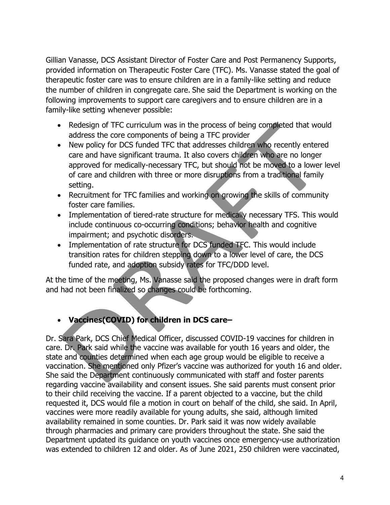Gillian Vanasse, DCS Assistant Director of Foster Care and Post Permanency Supports, provided information on Therapeutic Foster Care (TFC). Ms. Vanasse stated the goal of therapeutic foster care was to ensure children are in a family-like setting and reduce the number of children in congregate care. She said the Department is working on the following improvements to support care caregivers and to ensure children are in a family-like setting whenever possible:

- Redesign of TFC curriculum was in the process of being completed that would address the core components of being a TFC provider
- New policy for DCS funded TFC that addresses children who recently entered care and have significant trauma. It also covers children who are no longer approved for medically-necessary TFC, but should not be moved to a lower level of care and children with three or more disruptions from a traditional family setting.
- Recruitment for TFC families and working on growing the skills of community foster care families.
- Implementation of tiered-rate structure for medically necessary TFS. This would include continuous co-occurring conditions; behavior health and cognitive impairment; and psychotic disorders.
- Implementation of rate structure for DCS funded TFC. This would include transition rates for children stepping down to a lower level of care, the DCS funded rate, and adoption subsidy rates for TFC/DDD level.

At the time of the meeting, Ms. Vanasse said the proposed changes were in draft form and had not been finalized so changes could be forthcoming.

# • **Vaccines(COVID) for children in DCS care–**

Dr. Sara Park, DCS Chief Medical Officer, discussed COVID-19 vaccines for children in care. Dr. Park said while the vaccine was available for youth 16 years and older, the state and counties determined when each age group would be eligible to receive a vaccination. She mentioned only Pfizer's vaccine was authorized for youth 16 and older. She said the Department continuously communicated with staff and foster parents regarding vaccine availability and consent issues. She said parents must consent prior to their child receiving the vaccine. If a parent objected to a vaccine, but the child requested it, DCS would file a motion in court on behalf of the child, she said. In April, vaccines were more readily available for young adults, she said, although limited availability remained in some counties. Dr. Park said it was now widely available through pharmacies and primary care providers throughout the state. She said the Department updated its guidance on youth vaccines once emergency-use authorization was extended to children 12 and older. As of June 2021, 250 children were vaccinated,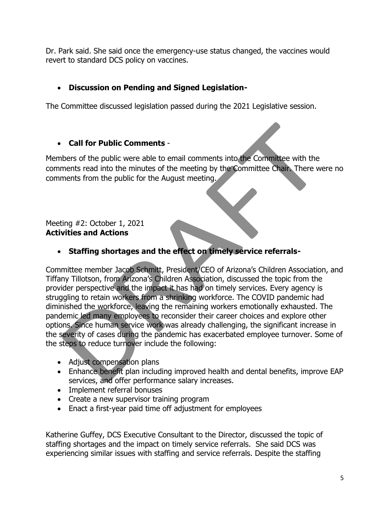Dr. Park said. She said once the emergency-use status changed, the vaccines would revert to standard DCS policy on vaccines.

## • **Discussion on Pending and Signed Legislation-**

The Committee discussed legislation passed during the 2021 Legislative session.

### • **Call for Public Comments** -

Members of the public were able to email comments into the Committee with the comments read into the minutes of the meeting by the Committee Chair. There were no comments from the public for the August meeting.

#### Meeting #2: October 1, 2021 **Activities and Actions**

• **Staffing shortages and the effect on timely service referrals-**

Committee member Jacob Schmitt, President/CEO of Arizona's Children Association, and Tiffany Tillotson, from Arizona's Children Association, discussed the topic from the provider perspective and the impact it has had on timely services. Every agency is struggling to retain workers from a shrinking workforce. The COVID pandemic had diminished the workforce, leaving the remaining workers emotionally exhausted. The pandemic led many employees to reconsider their career choices and explore other options. Since human service work was already challenging, the significant increase in the severity of cases during the pandemic has exacerbated employee turnover. Some of the steps to reduce turnover include the following:

- Adjust compensation plans
- Enhance benefit plan including improved health and dental benefits, improve EAP services, and offer performance salary increases.
- Implement referral bonuses
- Create a new supervisor training program
- Enact a first-year paid time off adjustment for employees

Katherine Guffey, DCS Executive Consultant to the Director, discussed the topic of staffing shortages and the impact on timely service referrals. She said DCS was experiencing similar issues with staffing and service referrals. Despite the staffing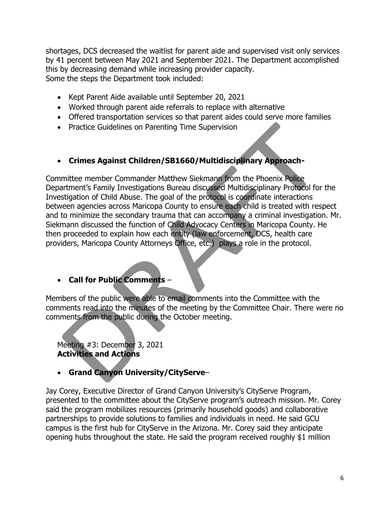shortages, DCS decreased the waitlist for parent aide and supervised visit only services by 41 percent between May 2021 and September 2021. The Department accomplished this by decreasing demand while increasing provider capacity. Some the steps the Department took included:

- Kept Parent Aide available until September 20, 2021
- Worked through parent aide referrals to replace with alternative
- Offered transportation services so that parent aides could serve more families
- Practice Guidelines on Parenting Time Supervision

### • **Crimes Against Children/SB1660/Multidisciplinary Approach-**

Committee member Commander Matthew Siekmann from the Phoenix Police Department's Family Investigations Bureau discussed Multidisciplinary Protocol for the Investigation of Child Abuse. The goal of the protocol is coordinate interactions between agencies across Maricopa County to ensure each child is treated with respect and to minimize the secondary trauma that can accompany a criminal investigation. Mr. Siekmann discussed the function of Child Advocacy Centers in Maricopa County. He then proceeded to explain how each entity (law enforcement, DCS, health care providers, Maricopa County Attorneys Office, etc.) plays a role in the protocol.

# • **Call for Public Comments** –

Members of the public were able to email comments into the Committee with the comments read into the minutes of the meeting by the Committee Chair. There were no comments from the public during the October meeting.

Meeting #3: December 3, 2021 **Activities and Actions**

### • **Grand Canyon University/CityServe**–

Jay Corey, Executive Director of Grand Canyon University's CityServe Program, presented to the committee about the CityServe program's outreach mission. Mr. Corey said the program mobilizes resources (primarily household goods) and collaborative partnerships to provide solutions to families and individuals in need. He said GCU campus is the first hub for CityServe in the Arizona. Mr. Corey said they anticipate opening hubs throughout the state. He said the program received roughly \$1 million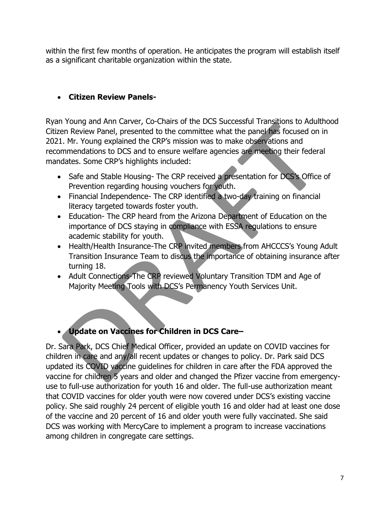within the first few months of operation. He anticipates the program will establish itself as a significant charitable organization within the state.

## • **Citizen Review Panels-**

Ryan Young and Ann Carver, Co-Chairs of the DCS Successful Transitions to Adulthood Citizen Review Panel, presented to the committee what the panel has focused on in 2021. Mr. Young explained the CRP's mission was to make observations and recommendations to DCS and to ensure welfare agencies are meeting their federal mandates. Some CRP's highlights included:

- Safe and Stable Housing- The CRP received a presentation for DCS's Office of Prevention regarding housing vouchers for youth.
- Financial Independence- The CRP identified a two-day training on financial literacy targeted towards foster youth.
- Education- The CRP heard from the Arizona Department of Education on the importance of DCS staying in compliance with ESSA regulations to ensure academic stability for youth.
- Health/Health Insurance-The CRP invited members from AHCCCS's Young Adult Transition Insurance Team to discus the importance of obtaining insurance after turning 18.
- Adult Connections-The CRP reviewed Voluntary Transition TDM and Age of Majority Meeting Tools with DCS's Permanency Youth Services Unit.

# • **Update on Vaccines for Children in DCS Care–**

Dr. Sara Park, DCS Chief Medical Officer, provided an update on COVID vaccines for children in care and any/all recent updates or changes to policy. Dr. Park said DCS updated its COVID vaccine guidelines for children in care after the FDA approved the vaccine for children 5 years and older and changed the Pfizer vaccine from emergencyuse to full-use authorization for youth 16 and older. The full-use authorization meant that COVID vaccines for older youth were now covered under DCS's existing vaccine policy. She said roughly 24 percent of eligible youth 16 and older had at least one dose of the vaccine and 20 percent of 16 and older youth were fully vaccinated. She said DCS was working with MercyCare to implement a program to increase vaccinations among children in congregate care settings.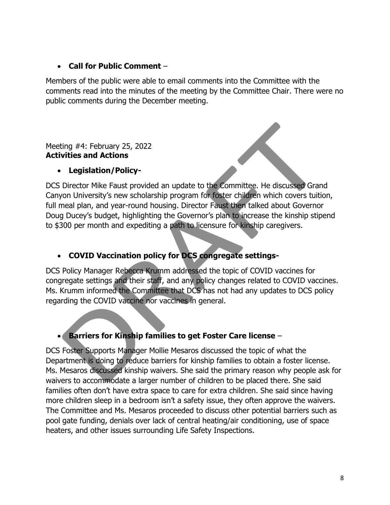### • **Call for Public Comment** –

Members of the public were able to email comments into the Committee with the comments read into the minutes of the meeting by the Committee Chair. There were no public comments during the December meeting.

Meeting #4: February 25, 2022 **Activities and Actions**

### • **Legislation/Policy-**

DCS Director Mike Faust provided an update to the Committee. He discussed Grand Canyon University's new scholarship program for foster children which covers tuition, full meal plan, and year-round housing. Director Faust then talked about Governor Doug Ducey's budget, highlighting the Governor's plan to increase the kinship stipend to \$300 per month and expediting a path to licensure for kinship caregivers.

# • **COVID Vaccination policy for DCS congregate settings-**

DCS Policy Manager Rebecca Krumm addressed the topic of COVID vaccines for congregate settings and their staff, and any policy changes related to COVID vaccines. Ms. Krumm informed the Committee that DCS has not had any updates to DCS policy regarding the COVID vaccine nor vaccines in general.

# • **Barriers for Kinship families to get Foster Care license** –

DCS Foster Supports Manager Mollie Mesaros discussed the topic of what the Department is doing to reduce barriers for kinship families to obtain a foster license. Ms. Mesaros discussed kinship waivers. She said the primary reason why people ask for waivers to accommodate a larger number of children to be placed there. She said families often don't have extra space to care for extra children. She said since having more children sleep in a bedroom isn't a safety issue, they often approve the waivers. The Committee and Ms. Mesaros proceeded to discuss other potential barriers such as pool gate funding, denials over lack of central heating/air conditioning, use of space heaters, and other issues surrounding Life Safety Inspections.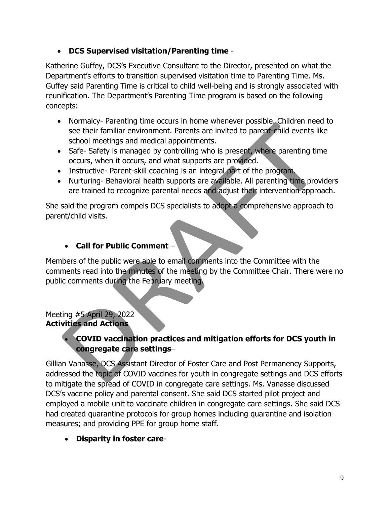## • **DCS Supervised visitation/Parenting time** -

Katherine Guffey, DCS's Executive Consultant to the Director, presented on what the Department's efforts to transition supervised visitation time to Parenting Time. Ms. Guffey said Parenting Time is critical to child well-being and is strongly associated with reunification. The Department's Parenting Time program is based on the following concepts:

- Normalcy- Parenting time occurs in home whenever possible. Children need to see their familiar environment. Parents are invited to parent-child events like school meetings and medical appointments.
- Safe- Safety is managed by controlling who is present, where parenting time occurs, when it occurs, and what supports are provided.
- Instructive- Parent-skill coaching is an integral part of the program.
- Nurturing- Behavioral health supports are available. All parenting time providers are trained to recognize parental needs and adjust their intervention approach.

She said the program compels DCS specialists to adopt a comprehensive approach to parent/child visits.

## • **Call for Public Comment** –

Members of the public were able to email comments into the Committee with the comments read into the minutes of the meeting by the Committee Chair. There were no public comments during the February meeting.

### Meeting #5 April 29, 2022 **Activities and Actions**

# • **COVID vaccination practices and mitigation efforts for DCS youth in congregate care settings**–

Gillian Vanasse, DCS Assistant Director of Foster Care and Post Permanency Supports, addressed the topic of COVID vaccines for youth in congregate settings and DCS efforts to mitigate the spread of COVID in congregate care settings. Ms. Vanasse discussed DCS's vaccine policy and parental consent. She said DCS started pilot project and employed a mobile unit to vaccinate children in congregate care settings. She said DCS had created quarantine protocols for group homes including quarantine and isolation measures; and providing PPE for group home staff.

# • **Disparity in foster care**-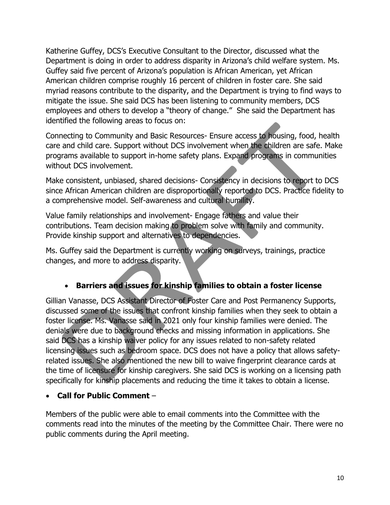Katherine Guffey, DCS's Executive Consultant to the Director, discussed what the Department is doing in order to address disparity in Arizona's child welfare system. Ms. Guffey said five percent of Arizona's population is African American, yet African American children comprise roughly 16 percent of children in foster care. She said myriad reasons contribute to the disparity, and the Department is trying to find ways to mitigate the issue. She said DCS has been listening to community members, DCS employees and others to develop a "theory of change." She said the Department has identified the following areas to focus on:

Connecting to Community and Basic Resources- Ensure access to housing, food, health care and child care. Support without DCS involvement when the children are safe. Make programs available to support in-home safety plans. Expand programs in communities without DCS involvement.

Make consistent, unbiased, shared decisions- Consistency in decisions to report to DCS since African American children are disproportionally reported to DCS. Practice fidelity to a comprehensive model. Self-awareness and cultural humility.

Value family relationships and involvement- Engage fathers and value their contributions. Team decision making to problem solve with family and community. Provide kinship support and alternatives to dependencies.

Ms. Guffey said the Department is currently working on surveys, trainings, practice changes, and more to address disparity.

# • **Barriers and issues for kinship families to obtain a foster license**

Gillian Vanasse, DCS Assistant Director of Foster Care and Post Permanency Supports, discussed some of the issues that confront kinship families when they seek to obtain a foster license. Ms. Vanasse said in 2021 only four kinship families were denied. The denials were due to background checks and missing information in applications. She said DCS has a kinship waiver policy for any issues related to non-safety related licensing issues such as bedroom space. DCS does not have a policy that allows safetyrelated issues. She also mentioned the new bill to waive fingerprint clearance cards at the time of licensure for kinship caregivers. She said DCS is working on a licensing path specifically for kinship placements and reducing the time it takes to obtain a license.

• **Call for Public Comment** –

Members of the public were able to email comments into the Committee with the comments read into the minutes of the meeting by the Committee Chair. There were no public comments during the April meeting.